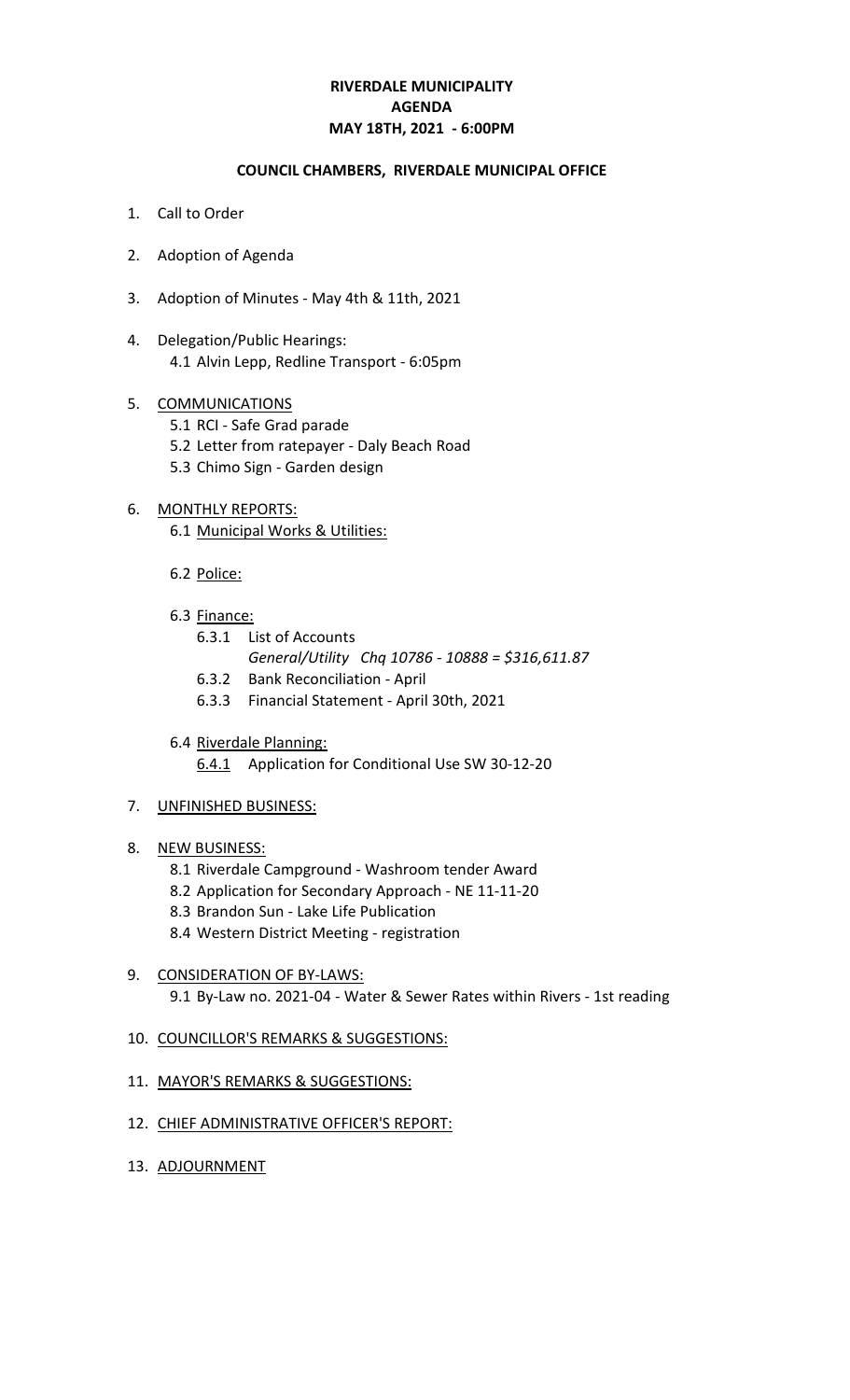# **RIVERDALE MUNICIPALITY MAY 18TH, 2021 - 6:00PM AGENDA**

#### **COUNCIL CHAMBERS, RIVERDALE MUNICIPAL OFFICE**

- 1. Call to Order
- 2. Adoption of Agenda
- 3. Adoption of Minutes May 4th & 11th, 2021
- 4. Delegation/Public Hearings: 4.1 Alvin Lepp, Redline Transport - 6:05pm

#### 5. COMMUNICATIONS

- 5.1 RCI Safe Grad parade
- 5.2 Letter from ratepayer Daly Beach Road
- 5.3 Chimo Sign Garden design

# 6. MONTHLY REPORTS:

- 6.1 Municipal Works & Utilities:
- 6.2 Police:
- 6.3 Finance:
	- 6.3.1 List of Accounts
		- *General/Utility Chq 10786 10888 = \$316,611.87*
	- 6.3.2 Bank Reconciliation April
	- 6.3.3 Financial Statement April 30th, 2021
- 6.4 Riverdale Planning:
	- 6.4.1 Application for Conditional Use SW 30-12-20

#### 7. UNFINISHED BUSINESS:

- 8. NEW BUSINESS:
	- 8.1 Riverdale Campground Washroom tender Award
	- 8.2 Application for Secondary Approach NE 11-11-20
	- 8.3 Brandon Sun Lake Life Publication
	- 8.4 Western District Meeting registration

## 9. CONSIDERATION OF BY-LAWS: 9.1 By-Law no. 2021-04 - Water & Sewer Rates within Rivers - 1st reading

#### 10. COUNCILLOR'S REMARKS & SUGGESTIONS:

- 11. MAYOR'S REMARKS & SUGGESTIONS:
- 12. CHIEF ADMINISTRATIVE OFFICER'S REPORT:
- 13. ADJOURNMENT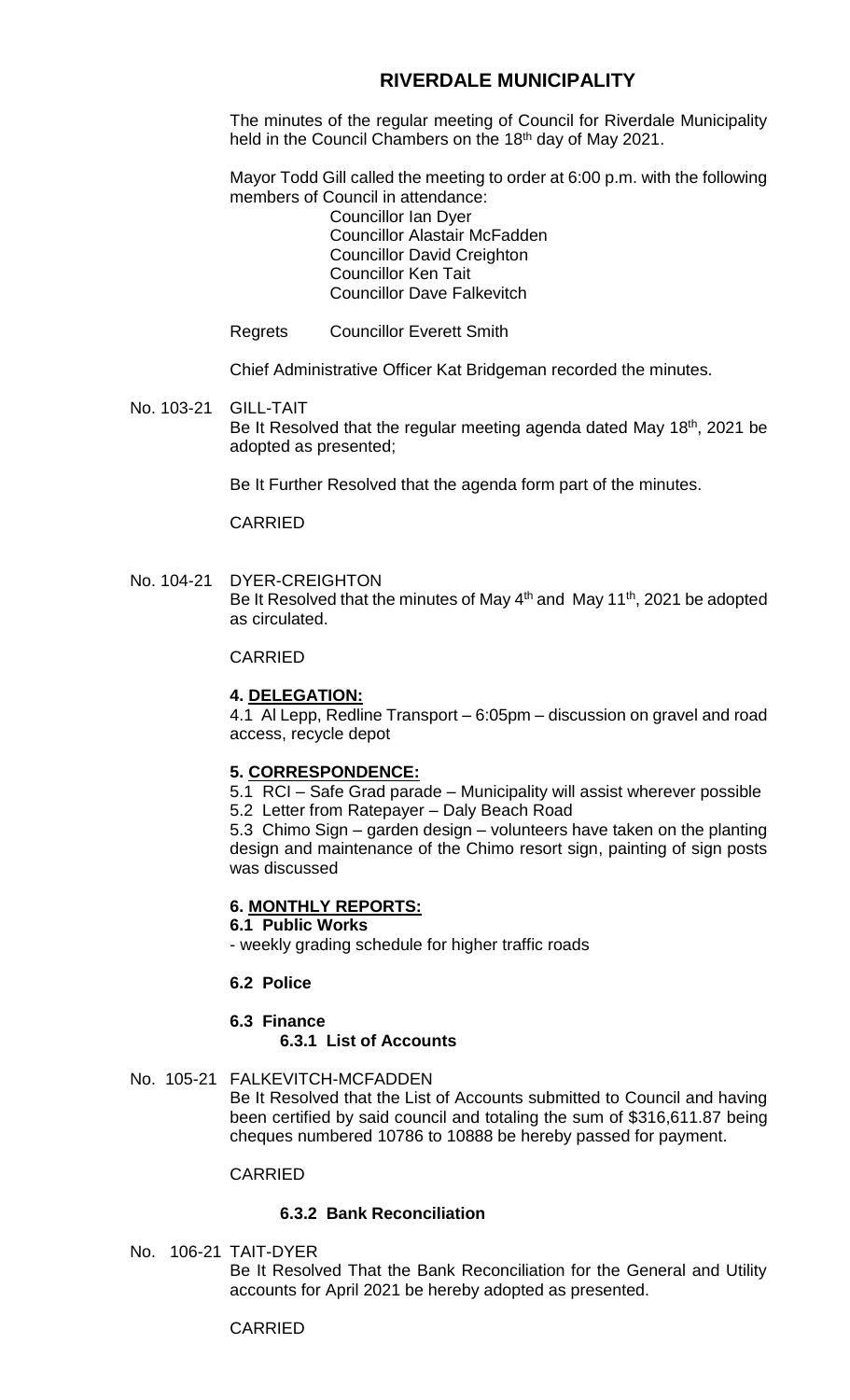# **RIVERDALE MUNICIPALITY**

The minutes of the regular meeting of Council for Riverdale Municipality held in the Council Chambers on the 18<sup>th</sup> day of May 2021.

Mayor Todd Gill called the meeting to order at 6:00 p.m. with the following members of Council in attendance:

Councillor Ian Dyer Councillor Alastair McFadden Councillor David Creighton Councillor Ken Tait Councillor Dave Falkevitch

Regrets Councillor Everett Smith

Chief Administrative Officer Kat Bridgeman recorded the minutes.

No. 103-21 GILL-TAIT Be It Resolved that the regular meeting agenda dated May 18<sup>th</sup>, 2021 be adopted as presented;

Be It Further Resolved that the agenda form part of the minutes.

CARRIED

No. 104-21 DYER-CREIGHTON Be It Resolved that the minutes of May 4<sup>th</sup> and May 11<sup>th</sup>, 2021 be adopted as circulated.

## CARRIED

# **4. DELEGATION:**

4.1 Al Lepp, Redline Transport – 6:05pm – discussion on gravel and road access, recycle depot

## **5. CORRESPONDENCE:**

5.1 RCI – Safe Grad parade – Municipality will assist wherever possible 5.2 Letter from Ratepayer – Daly Beach Road

5.3 Chimo Sign – garden design – volunteers have taken on the planting design and maintenance of the Chimo resort sign, painting of sign posts was discussed

# **6. MONTHLY REPORTS:**

#### **6.1 Public Works**

- weekly grading schedule for higher traffic roads

## **6.2 Police**

## **6.3 Finance 6.3.1 List of Accounts**

## No. 105-21 FALKEVITCH-MCFADDEN

Be It Resolved that the List of Accounts submitted to Council and having been certified by said council and totaling the sum of \$316,611.87 being cheques numbered 10786 to 10888 be hereby passed for payment.

## CARRIED

# **6.3.2 Bank Reconciliation**

No. 106-21 TAIT-DYER

Be It Resolved That the Bank Reconciliation for the General and Utility accounts for April 2021 be hereby adopted as presented.

## CARRIED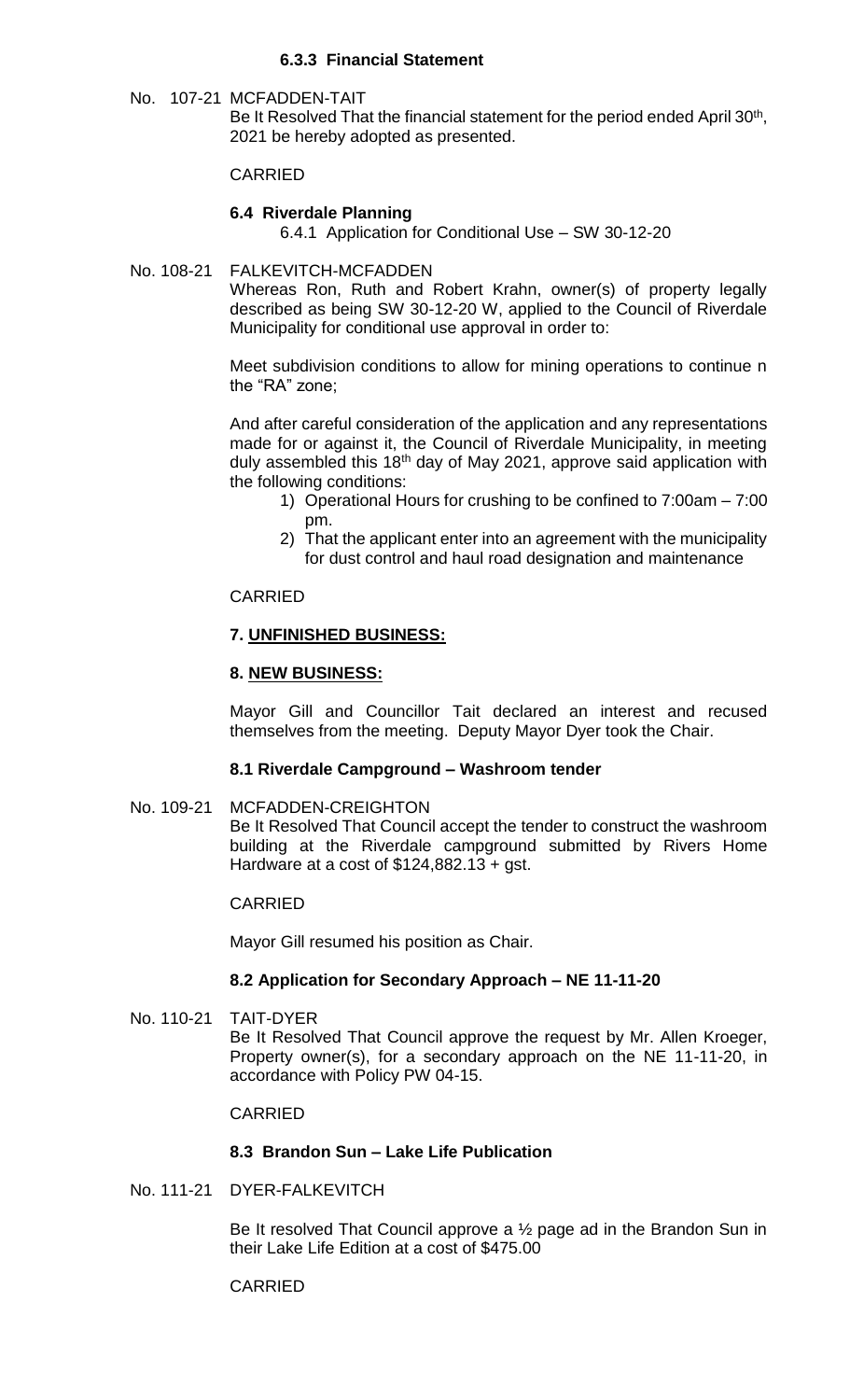# **6.3.3 Financial Statement**

No. 107-21 MCFADDEN-TAIT

Be It Resolved That the financial statement for the period ended April 30<sup>th</sup>, 2021 be hereby adopted as presented.

#### CARRIED

## **6.4 Riverdale Planning**

6.4.1 Application for Conditional Use – SW 30-12-20

#### No. 108-21 FALKEVITCH-MCFADDEN

Whereas Ron, Ruth and Robert Krahn, owner(s) of property legally described as being SW 30-12-20 W, applied to the Council of Riverdale Municipality for conditional use approval in order to:

Meet subdivision conditions to allow for mining operations to continue n the "RA" zone;

And after careful consideration of the application and any representations made for or against it, the Council of Riverdale Municipality, in meeting duly assembled this 18<sup>th</sup> day of May 2021, approve said application with the following conditions:

- 1) Operational Hours for crushing to be confined to 7:00am 7:00 pm.
- 2) That the applicant enter into an agreement with the municipality for dust control and haul road designation and maintenance

## CARRIED

# **7. UNFINISHED BUSINESS:**

## **8. NEW BUSINESS:**

Mayor Gill and Councillor Tait declared an interest and recused themselves from the meeting. Deputy Mayor Dyer took the Chair.

## **8.1 Riverdale Campground – Washroom tender**

No. 109-21 MCFADDEN-CREIGHTON Be It Resolved That Council accept the tender to construct the washroom building at the Riverdale campground submitted by Rivers Home Hardware at a cost of  $$124,882.13 + gst.$ 

## CARRIED

Mayor Gill resumed his position as Chair.

## **8.2 Application for Secondary Approach – NE 11-11-20**

No. 110-21 TAIT-DYER Be It Resolved That Council approve the request by Mr. Allen Kroeger, Property owner(s), for a secondary approach on the NE 11-11-20, in accordance with Policy PW 04-15.

## CARRIED

## **8.3 Brandon Sun – Lake Life Publication**

No. 111-21 DYER-FALKEVITCH

Be It resolved That Council approve a ½ page ad in the Brandon Sun in their Lake Life Edition at a cost of \$475.00

## CARRIED